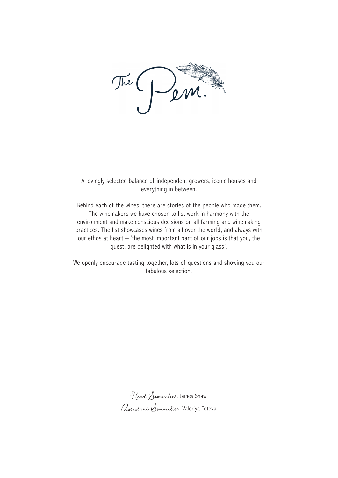

A lovingly selected balance of independent growers, iconic houses and everything in between.

Behind each of the wines, there are stories of the people who made them. The winemakers we have chosen to list work in harmony with the environment and make conscious decisions on all farming and winemaking practices. The list showcases wines from all over the world, and always with our ethos at heart – 'the most important part of our jobs is that you, the guest, are delighted with what is in your glass'.

We openly encourage tasting together, lots of questions and showing you our fabulous selection.

Head Sommelier James Shaw Assistant Sommelier Valeriya Toteva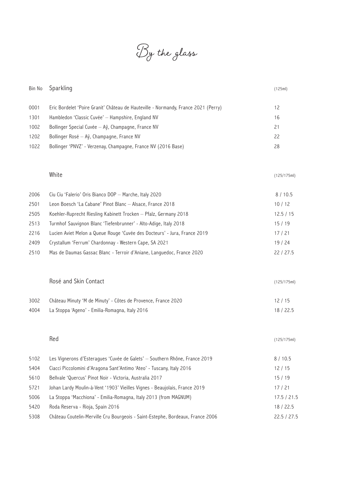By the glass

| Bin No | Sparkling                                                                          | (125ml)     |
|--------|------------------------------------------------------------------------------------|-------------|
| 0001   | Eric Bordelet 'Poire Granit' Château de Hauteville - Normandy, France 2021 (Perry) | 12          |
| 1301   | Hambledon 'Classic Cuvée' - Hampshire, England NV                                  | 16          |
| 1002   | Bollinger Special Cuvée - Aÿ, Champagne, France NV                                 | 21          |
| 1202   | Bollinger Rosé - Aÿ, Champagne, France NV                                          | 22          |
| 1022   | Bollinger 'PNVZ' - Verzenay, Champagne, France NV (2016 Base)                      | 28          |
|        | White                                                                              | (125/175ml) |
| 2006   | Cíu Cíu 'Falerio' Oris Bianco DOP - Marche, Italy 2020                             | 8/10.5      |
| 2501   | Leon Boesch 'La Cabane' Pinot Blanc - Alsace, France 2018                          | 10/12       |
| 2505   | Koehler-Ruprecht Riesling Kabinett Trocken - Pfalz, Germany 2018                   | 12.5 / 15   |
| 2513   | Turmhof Sauvignon Blanc 'Tiefenbrunner' - Alto-Adige, Italy 2018                   | 15/19       |
| 2216   | Lucien Aviet Melon a Queue Rouge 'Cuvée des Docteurs' - Jura, France 2019          | 17/21       |
| 2409   | Crystallum 'Ferrum' Chardonnay - Western Cape, SA 2021                             | 19/24       |
| 2510   | Mas de Daumas Gassac Blanc - Terroir d'Aniane, Languedoc, France 2020              | 22 / 27.5   |
|        | Rosé and Skin Contact                                                              | (125/175ml) |
| 3002   | Château Minuty 'M de Minuty' - Côtes de Provence, France 2020                      | 12/15       |
| 4004   | La Stoppa 'Ageno' - Emilia-Romagna, Italy 2016                                     | 18 / 22.5   |
|        | Red                                                                                | (125/175ml) |
| 5102   | Les Vignerons d'Esteragues 'Cuvée de Galets' - Southern Rhône, France 2019         | 8/10.5      |
| 5404   | Ciacci Piccolomini d'Aragona Sant'Antimo 'Ateo' - Tuscany, Italy 2016              | 12/15       |
| 5610   | Bellvale 'Quercus' Pinot Noir - Victoria, Australia 2017                           | 15/19       |
| 5721   | Johan Lardy Moulin-à-Vent '1903' Vieilles Vignes - Beaujolais, France 2019         | 17/21       |
| 5006   | La Stoppa 'Macchiona' - Emilia-Romagna, Italy 2013 (from MAGNUM)                   | 17.5 / 21.5 |
| 5420   | Roda Reserva - Rioja, Spain 2016                                                   | 18 / 22.5   |
| 5308   | Château Coutelin-Merville Cru Bourgeois - Saint-Estephe, Bordeaux, France 2006     | 22.5 / 27.5 |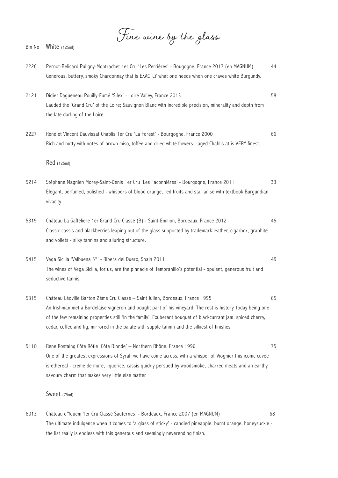Fine wine by the glass

- 2226 Pernot-Belicard Puligny-Montrachet 1er Cru 'Les Perrières' Bougogne, France 2017 (en MAGNUM) 44 Generous, buttery, smoky Chardonnay that is EXACTLY what one needs when one craves white Burgundy. 2121 Didier Dagueneau Pouilly-Fumé 'Silex' - Loire Valley, France 2013 58 Lauded the 'Grand Cru' of the Loire; Sauvignon Blanc with incredible precision, minerality and depth from the late darling of the Loire. 2227 René et Vincent Dauvissat Chablis 1er Cru 'La Forest' - Bourgogne, France 2000 66 Rich and nutty with notes of brown miso, toffee and dried white flowers - aged Chablis at is VERY finest. Red (125ml) 5214 Stéphane Magnien Morey-Saint-Denis 1er Cru 'Les Faconnières' - Bourgogne, France 2011 33 Elegant, perfumed, polished - whispers of blood orange, red fruits and star anise with textbook Burgundian vivacity . 5319 Château La Gaffeliere 1er Grand Cru Classé (B) - Saint-Emilion, Bordeaux, France 2012 45 Classic cassis and blackberries leaping out of the glass supported by trademark leather, cigarbox, graphite and voilets - silky tannins and alluring structure. 5415 Vega Sicilia 'Valbuena 5°' - Ribera del Duero, Spain 2011 49 The wines of Vega Sicilia, for us, are the pinnacle of Tempranillo's potential - opulent, generous fruit and seductive tannis. 5315 Château Léoville Barton 2ème Cru Classé – Saint Julien, Bordeaux, France 1995 65 An Irishman met a Bordelaise vigneron and bought part of his vineyard. The rest is history, today being one of the few remaining properties still 'in the family'. Exuberant bouquet of blackcurrant jam, spiced cherry, cedar, coffee and fig, mirrored in the palate with supple tannin and the silkiest of finishes. 5110 Rene Rostaing Côte Rôtie 'Côte Blonde' – Northern Rhône, France 1996 75 One of the greatest expressions of Syrah we have come across, with a whisper of Viognier this iconic cuvée is ethereal - creme de mure, liquorice, cassis quickly persued by woodsmoke, charred meats and an earthy, savoury charm that makes very little else matter. Sweet (75ml)
- 6013 Château d'Yquem 1er Cru Classé Sauternes Bordeaux, France 2007 (en MAGNUM) 68 The ultimate indulgence when it comes to 'a glass of sticky' - candied pineapple, burnt orange, honeysuckle the list really is endless with this generous and seemingly neverending finish.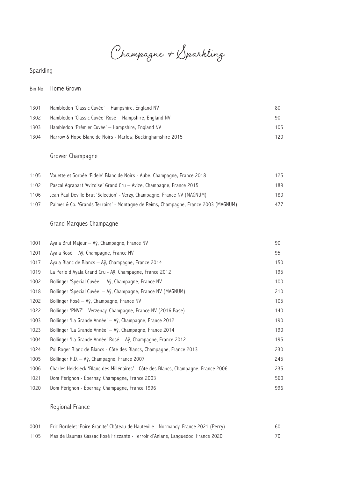Champagne & Sparkling

## Sparkling

#### Bin No Home Grown

| 1301 | Hambledon 'Classic Cuvée' - Hampshire, England NV           | 80  |
|------|-------------------------------------------------------------|-----|
| 1302 | Hambledon 'Classic Cuvée' Rosé — Hampshire, England NV      | 90  |
| 1303 | Hambledon 'Prèmier Cuvée' – Hampshire, England NV           | 105 |
| 1304 | Harrow & Hope Blanc de Noirs - Marlow, Buckinghamshire 2015 | 120 |

## Grower Champagne

| 1105 | Vouette et Sorbée 'Fidele' Blanc de Noirs - Aube, Champagne, France 2018            | 125 |
|------|-------------------------------------------------------------------------------------|-----|
| 1102 | Pascal Agrapart 'Avizoise' Grand Cru - Avize, Champagne, France 2015                | 189 |
| 1106 | Jean Paul Deville Brut 'Selection' - Verzy, Champagne, France NV (MAGNUM)           | 180 |
| 1107 | Palmer & Co. 'Grands Terroirs' - Montagne de Reims, Champagne, France 2003 (MAGNUM) | 477 |

## Grand Marques Champagne

| 1001 | Ayala Brut Majeur - Aÿ, Champagne, France NV                                        | 90  |
|------|-------------------------------------------------------------------------------------|-----|
| 1201 | Ayala Rosé - Aÿ, Champagne, France NV                                               | 95  |
| 1017 | Ayala Blanc de Blancs - Aÿ, Champagne, France 2014                                  | 150 |
| 1019 | La Perle d'Ayala Grand Cru - Aÿ, Champagne, France 2012                             | 195 |
| 1002 | Bollinger 'Special Cuvée' - Aÿ, Champagne, France NV                                | 100 |
| 1018 | Bollinger 'Special Cuvée' - Aÿ, Champagne, France NV (MAGNUM)                       | 210 |
| 1202 | Bollinger Rosé – Aÿ, Champagne, France NV                                           | 105 |
| 1022 | Bollinger 'PNVZ' - Verzenay, Champagne, France NV (2016 Base)                       | 140 |
| 1003 | Bollinger 'La Grande Année' - Aÿ, Champagne, France 2012                            | 190 |
| 1023 | Bollinger 'La Grande Année' - Aÿ, Champagne, France 2014                            | 190 |
| 1004 | Bollinger 'La Grande Année' Rosé - Aÿ, Champagne, France 2012                       | 195 |
| 1024 | Pol Roger Blanc de Blancs - Côte des Blancs, Champagne, France 2013                 | 230 |
| 1005 | Bollinger R.D. - Aÿ, Champagne, France 2007                                         | 245 |
| 1006 | Charles Heidsieck 'Blanc des Millénaires' - Côte des Blancs, Champagne, France 2006 | 235 |
| 1021 | Dom Pérignon - Épernay, Champagne, France 2003                                      | 560 |
| 1020 | Dom Pérignon - Épernay, Champagne, France 1996                                      | 996 |

## Regional France

| 0001 | Eric Bordelet 'Poire Granite' Château de Hauteville - Normandy, France 2021 (Perry) | 60 |
|------|-------------------------------------------------------------------------------------|----|
| 1105 | Mas de Daumas Gassac Rosé Frizzante - Terroir d'Aniane, Languedoc, France 2020      | 70 |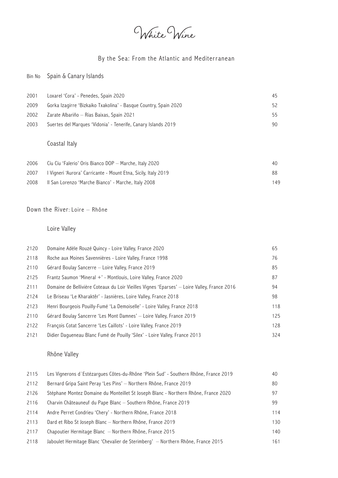White Wine

## By the Sea: From the Atlantic and Mediterranean

## Bin No Spain & Canary Islands

| 2001 | Loxarel 'Cora' - Penedes, Spain 2020                             | 45 |
|------|------------------------------------------------------------------|----|
| 2009 | Gorka Izagirre 'Bizkaiko Txakolina' - Basque Country, Spain 2020 | 52 |
| 2002 | - Zarate Albariño — Rías Baixas, Spain 2021                      | 55 |
| 2003 | Suertes del Marques 'Vidonia' - Tenerife, Canary Islands 2019    | 90 |

## Coastal Italy

| 2006 | Cíu Cíu 'Falerio' Oris Bianco DOP — Marche, Italy 2020           | 40. |
|------|------------------------------------------------------------------|-----|
| 2007 | - I Vigneri 'Aurora' Carricante - Mount Etna, Sicily, Italy 2019 | 88. |
| 2008 | ll San Lorenzo 'Marche Bianco' - Marche, Italy 2008              | 149 |

#### Down the River: Loire – Rhône

## Loire Valley

| 2120 | Domaine Adèle Rouzé Quincy - Loire Valley, France 2020                                      | 65  |
|------|---------------------------------------------------------------------------------------------|-----|
| 2118 | Roche aux Moines Savennières - Loire Valley, France 1998                                    | 76  |
| 2110 | Gérard Boulay Sancerre - Loire Valley, France 2019                                          | 85  |
| 2125 | Frantz Saumon 'Mineral +' - Montlouis, Loire Valley, France 2020                            | 87  |
| 2111 | Domaine de Bellivière Coteaux du Loir Vieilles Vignes 'Eparses' - Loire Valley, France 2016 | 94  |
| 2124 | Le Briseau 'Le Kharaktêr' - Jasnières, Loire Valley, France 2018                            | 98  |
| 2123 | Henri Bourgeois Pouilly-Fumé 'La Demoiselle' - Loire Valley, France 2018                    | 118 |
| 2110 | Gérard Boulay Sancerre 'Les Mont Damnes' — Loire Valley, France 2019                        | 125 |
| 2122 | François Cotat Sancerre 'Les Caillots' - Loire Valley, France 2019                          | 128 |
| 2121 | Didier Dagueneau Blanc Fumé de Pouilly 'Silex' - Loire Valley, France 2013                  | 324 |

## Rhône Valley

| 2115 | Les Vignerons d`Estézargues Côtes-du-Rhône 'Plein Sud' - Southern Rhône, France 2019 | 40  |
|------|--------------------------------------------------------------------------------------|-----|
| 2112 | Bernard Gripa Saint Peray 'Les Pins' – Northern Rhône, France 2019                   | 80  |
| 2126 | Stéphane Montez Domaine du Monteillet St Joseph Blanc - Northern Rhône, France 2020  | 97  |
| 2116 | Charvin Châteauneuf du Pape Blanc – Southern Rhône, France 2019                      | 99  |
| 2114 | Andre Perret Condrieu 'Chery' - Northern Rhône, France 2018                          | 114 |
| 2113 | Dard et Ribo St Joseph Blanc - Northern Rhône, France 2019                           | 130 |
| 2117 | Chapoutier Hermitage Blanc - Northern Rhône, France 2015                             | 140 |
| 2118 | Jaboulet Hermitage Blanc 'Chevalier de Sterimberg' — Northern Rhône, France 2015     | 161 |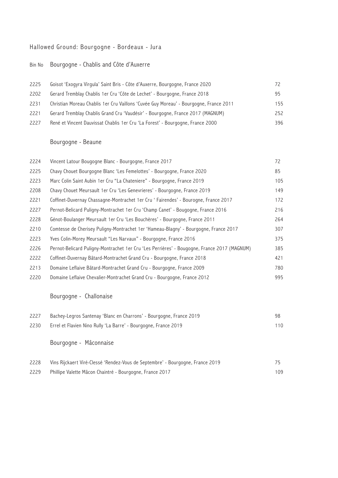## Hallowed Ground: Bourgogne - Bordeaux - Jura

### Bin No Bourgogne - Chablis and Côte d'Auxerre

| 2225 | Goisot 'Exogyra Virgula' Saint Bris - Côte d'Auxerre, Bourgogne, France 2020          |     |
|------|---------------------------------------------------------------------------------------|-----|
| 2202 | Gerard Tremblay Chablis 1er Cru 'Côte de Lechet' - Bourgogne, France 2018             | 95  |
| 2231 | Christian Moreau Chablis 1er Cru Vaillons 'Cuvée Guy Moreau' - Bourgogne, France 2011 | 155 |
| 2221 | Gerard Tremblay Chablis Grand Cru 'Vaudésir' - Bourgogne, France 2017 (MAGNUM)        | 252 |
| 2227 | René et Vincent Dauvissat Chablis 1 er Cru 'La Forest' - Bourgogne, France 2000       | 396 |

## Bourgogne - Beaune

| 2224 | Vincent Latour Bougogne Blanc - Bourgogne, France 2017                                      | 72  |
|------|---------------------------------------------------------------------------------------------|-----|
| 2225 | Chavy Chouet Bourgogne Blanc 'Les Femelottes' - Bourgogne, France 2020                      | 85  |
| 2223 | Marc Colin Saint Aubin 1er Cru "La Chateniere" - Bourgogne, France 2019                     | 105 |
| 2208 | Chavy Chouet Meursault 1er Cru 'Les Genevrieres' - Bourgogne, France 2019                   | 149 |
| 2221 | Coffinet-Duvernay Chassagne-Montrachet 1er Cru 'Fairendes' - Bourogne, France 2017          | 172 |
| 2227 | Pernot-Belicard Puligny-Montrachet 1er Cru 'Champ Canet' - Bougogne, France 2016            | 216 |
| 2228 | Génot-Boulanger Meursault 1er Cru 'Les Bouchères' - Bourgogne, France 2011                  | 264 |
| 2210 | Comtesse de Cherisey Puligny-Montrachet 1er 'Hameau-Blagny' - Bourgogne, France 2017        | 307 |
| 2223 | Yves Colin-Morey Meursault "Les Narvaux" - Bourgogne, France 2016                           | 375 |
| 2226 | Pernot-Belicard Puligny-Montrachet 1er Cru 'Les Perrières' - Bougogne, France 2017 (MAGNUM) | 385 |
| 2222 | Coffinet-Duvernay Bâtard-Montrachet Grand Cru - Bourgogne, France 2018                      | 421 |
| 2213 | Domaine Leflaive Bâtard-Montrachet Grand Cru - Bourgogne, France 2009                       | 780 |
| 2220 | Domaine Leflaive Chevalier-Montrachet Grand Cru - Bourgogne, France 2012                    | 995 |

Bourgogne - Challonaise

| 2227 | Bachey-Legros Santenay 'Blanc en Charrons' - Bourgogne, France 2019 |     |
|------|---------------------------------------------------------------------|-----|
| 2230 | Errel et Flavien Nino Rully 'La Barre' - Bourgogne, France 2019     | 110 |

Bourgogne - Mâconnaise

| 2228 | Vins Rijckaert Viré-Clessé 'Rendez-Vous de Septembre' - Bourgogne, France 2019 | 75  |
|------|--------------------------------------------------------------------------------|-----|
| 2229 | Phillipe Valette Mâcon Chaintré - Bourgogne, France 2017                       | 109 |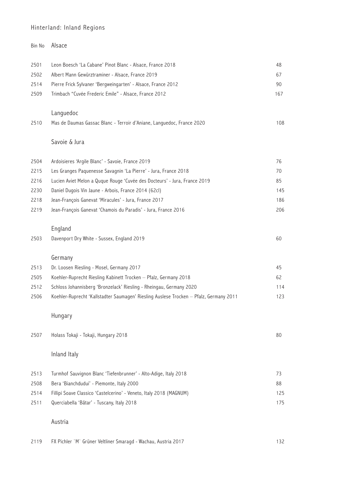#### Hinterland: Inland Regions

|      | Bin No Alsace                                                |    |
|------|--------------------------------------------------------------|----|
| 2501 | Leon Boesch 'La Cabane' Pinot Blanc - Alsace, France 2018    | 48 |
| 2502 | Albert Mann Gewürztraminer - Alsace, France 2019             | 67 |
| 2514 | Pierre Frick Sylvaner 'Bergweingarten' - Alsace, France 2012 | 90 |

Trimbach "Cuvée Frederic Emile" - Alsace, France 2012 167

### Languedoc

|  | 2510 Mas de Daumas Gassac Blanc - Terroir d'Aniane, Languedoc, France 2020 | 108 |
|--|----------------------------------------------------------------------------|-----|
|  |                                                                            |     |

### Savoie & Jura

| 2504 | Ardoisieres 'Argile Blanc' - Savoie, France 2019                          | 76  |
|------|---------------------------------------------------------------------------|-----|
| 2215 | Les Granges Paguenesse Savagnin 'La Pierre' - Jura, France 2018           | 70  |
| 2216 | Lucien Aviet Melon a Quque Rouge 'Cuvée des Docteurs' - Jura, France 2019 | 85  |
| 2230 | Daniel Dugois Vin Jaune - Arbois, France 2014 (62cl)                      | 145 |
| 2218 | Jean-François Ganevat 'Miracules' - Jura, France 2017                     | 186 |
| 2219 | Jean-François Ganevat 'Chamois du Paradis' - Jura, France 2016            | 206 |

### England

| 2503 | Davenport Dry White - Sussex, England 2019<br>-------- |  |
|------|--------------------------------------------------------|--|
|      |                                                        |  |

#### Germany

| 2513 | Dr. Loosen Riesling - Mosel, Germany 2017                                              | 45. |
|------|----------------------------------------------------------------------------------------|-----|
| 2505 | Koehler-Ruprecht Riesling Kabinett Trocken – Pfalz, Germany 2018                       | 62  |
| 2512 | Schloss Johannisberg 'Bronzelack' Riesling - Rheingau, Germany 2020                    | 114 |
| 2506 | Koehler-Ruprecht 'Kallstadter Saumagen' Riesling Auslese Trocken — Pfalz, Germany 2011 | 123 |

### Hungary

| 2507 | Holass Tokaji - Tokaji, Hungary 2018                                | 80  |
|------|---------------------------------------------------------------------|-----|
|      | Inland Italy                                                        |     |
| 2513 | Turmhof Sauvignon Blanc 'Tiefenbrunner' - Alto-Adige, Italy 2018    | 73  |
| 2508 | Bera 'Bianchdudui' - Piemonte, Italy 2000                           | 88  |
| 2514 | Fillipi Soave Classico 'Castelcerino' - Veneto, Italy 2018 (MAGNUM) | 125 |

Querciabella 'Bâtar' - Tuscany, Italy 2018 175

#### Austria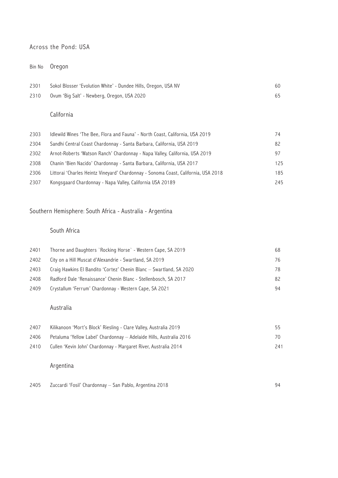#### Across the Pond: USA

## Bin No Oregon

| 2301 | Sokol Blosser 'Evolution White' - Dundee Hills, Oregon, USA NV | 60 |
|------|----------------------------------------------------------------|----|
|      | 2310 Ovum 'Big Salt' - Newberg, Oregon, USA 2020               | 65 |

## California

| 2303 | Idlewild Wines 'The Bee, Flora and Fauna' - North Coast, California, USA 2019      | 74  |
|------|------------------------------------------------------------------------------------|-----|
| 2304 | Sandhi Central Coast Chardonnay - Santa Barbara, California, USA 2019              | 82  |
| 2302 | Arnot-Roberts 'Watson Ranch' Chardonnay - Napa Valley, California, USA 2019        | 97  |
| 2308 | Chanin 'Bien Nacido' Chardonnay - Santa Barbara, California, USA 2017              | 125 |
| 2306 | Littorai 'Charles Heintz Vineyard' Chardonnay - Sonoma Coast, California, USA 2018 | 185 |
| 2307 | Kongsgaard Chardonnay - Napa Valley, California USA 20189                          | 245 |

# Southern Hemisphere: South Africa - Australia - Argentina

## South Africa

| 2401 | Thorne and Daughters `Rocking Horse` - Western Cape, SA 2019        | 68  |
|------|---------------------------------------------------------------------|-----|
| 2402 | City on a Hill Muscat d'Alexandrie - Swartland, SA 2019             | 76  |
| 2403 | Craig Hawkins El Bandito 'Cortez' Chenin Blanc – Swartland, SA 2020 | 78. |
| 2408 | Radford Dale 'Renaissance' Chenin Blanc - Stellenbosch, SA 2017     | 82  |
| 2409 | Crystallum 'Ferrum' Chardonnay - Western Cape, SA 2021              | 94  |

## Australia

| 2407 | Kilikanoon 'Mort's Block' Riesling - Clare Valley, Australia 2019     | 55. |
|------|-----------------------------------------------------------------------|-----|
| 2406 | - Petaluma 'Yellow Label' Chardonnay — Adelaide Hills, Australia 2016 | 70. |
| 2410 | Cullen 'Kevin John' Chardonnay - Margaret River, Australia 2014       | 241 |

# Argentina

| 2405 | Zuccardi 'Fosil' Chardonnav — San Pablo, Argentina 2018 |  |
|------|---------------------------------------------------------|--|
|------|---------------------------------------------------------|--|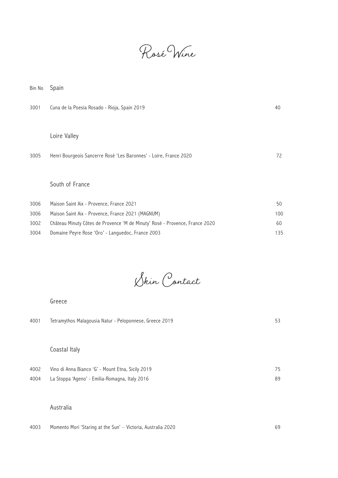Rosé Wine

| Bin No | Spain |
|--------|-------|
|--------|-------|

| 3001 | Cuna de la Poesia Rosado - Rioja, Spain 2019                      | 40 |
|------|-------------------------------------------------------------------|----|
|      |                                                                   |    |
|      | Loire Valley                                                      |    |
| 3005 | Henri Bourgeois Sancerre Rosé 'Les Baronnes' - Loire, France 2020 | 72 |
|      |                                                                   |    |
|      | South of France                                                   |    |

| 3006 | Maison Saint Aix - Provence, France 2021                                    | 50  |
|------|-----------------------------------------------------------------------------|-----|
| 3006 | Maison Saint Aix - Provence, France 2021 (MAGNUM)                           | 100 |
| 3002 | Château Minuty Côtes de Provence 'M de Minuty' Rosé - Provence, France 2020 | 60  |
| 3004 | Domaine Peyre Rose 'Oro' - Languedoc, France 2003                           | 135 |

Skin Contact

#### Greece

| 4001 | Tetramythos Malagousia Natur - Peloponnese, Greece 2019 | 53 |
|------|---------------------------------------------------------|----|
|      |                                                         |    |
|      | Coastal Italy                                           |    |
| 4002 | Vino di Anna Bianco 'G' - Mount Etna, Sicily 2019       | 75 |
| 4004 | La Stoppa 'Ageno' - Emilia-Romagna, Italy 2016          | 89 |

#### Australia

4003 Momento Mori 'Staring at the Sun' – Victoria, Australia 2020 69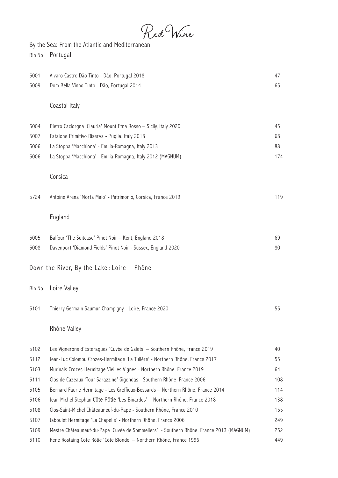Red Wine

By the Sea: From the Atlantic and Mediterranean Bin No Portugal

| 5001   | Alvaro Castro Dão Tinto - Dão, Portugal 2018                                            | 47  |
|--------|-----------------------------------------------------------------------------------------|-----|
| 5009   | Dom Bella Vinho Tinto - Dão, Portugal 2014                                              | 65  |
|        | Coastal Italy                                                                           |     |
| 5004   | Pietro Caciorgna 'Ciauria' Mount Etna Rosso - Sicily, Italy 2020                        | 45  |
| 5007   | Fatalone Primitivo Riserva - Puglia, Italy 2018                                         | 68  |
| 5006   | La Stoppa 'Macchiona' - Emilia-Romagna, Italy 2013                                      | 88  |
| 5006   | La Stoppa 'Macchiona' - Emilia-Romagna, Italy 2012 (MAGNUM)                             | 174 |
|        | Corsica                                                                                 |     |
| 5724   | Antoine Arena 'Morta Maio' - Patrimonio, Corsica, France 2019                           | 119 |
|        | England                                                                                 |     |
| 5005   | Balfour 'The Suitcase' Pinot Noir - Kent, England 2018                                  | 69  |
| 5008   | Davenport 'Diamond Fields' Pinot Noir - Sussex, England 2020                            | 80  |
|        | Down the River, By the Lake: Loire - Rhône                                              |     |
| Bin No | Loire Valley                                                                            |     |
| 5101   | Thierry Germain Saumur-Champigny - Loire, France 2020                                   | 55  |
|        | Rhône Valley                                                                            |     |
| 5102   | Les Vignerons d'Esteragues 'Cuvée de Galets' - Southern Rhône, France 2019              | 40  |
| 5112   | Jean-Luc Colombu Crozes-Hermitage 'La Tuilère' - Northern Rhône, France 2017            | 55  |
| 5103   | Murinais Crozes-Hermitage Vieilles Vignes - Northern Rhône, France 2019                 | 64  |
| 5111   | Clos de Cazeaux 'Tour Sarazzine' Gigondas - Southern Rhône, France 2006                 | 108 |
| 5105   | Bernard Faurie Hermitage - Les Greffieux-Bessards - Northern Rhône, France 2014         | 114 |
| 5106   | Jean Michel Stephan Côte Rôtie 'Les Binardes' - Northern Rhône, France 2018             | 138 |
| 5108   | Clos-Saint-Michel Châteauneuf-du-Pape - Southern Rhône, France 2010                     | 155 |
| 5107   | Jaboulet Hermitage 'La Chapelle' - Northern Rhône, France 2006                          | 249 |
| 5109   | Mestre Châteauneuf-du-Pape 'Cuvée de Sommeliers' - Southern Rhône, France 2013 (MAGNUM) | 252 |
| 5110   | Rene Rostaing Côte Rôtie 'Côte Blonde' - Northern Rhône, France 1996                    | 449 |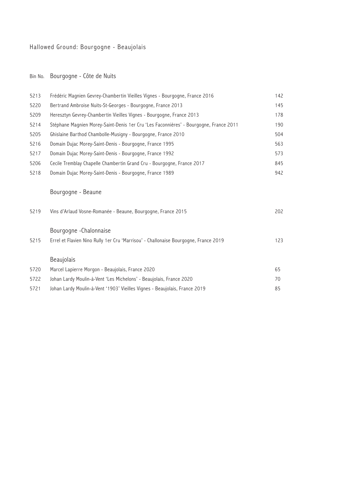# Hallowed Ground: Bourgogne - Beaujolais

# Bin No. Bourgogne - Côte de Nuits

| Frédéric Magnien Gevrey-Chambertin Vieilles Vignes - Bourgogne, France 2016           | 142 |
|---------------------------------------------------------------------------------------|-----|
| Bertrand Ambroise Nuits-St-Georges - Bourgogne, France 2013                           | 145 |
| Heresztyn Gevrey-Chambertin Vieilles Vignes - Bourgogne, France 2013                  | 178 |
| Stéphane Magnien Morey-Saint-Denis 1er Cru 'Les Faconnières' - Bourgogne, France 2011 | 190 |
| Ghislaine Barthod Chambolle-Musigny - Bourgogne, France 2010                          | 504 |
| Domain Dujac Morey-Saint-Denis - Bourgogne, France 1995                               | 563 |
| Domain Dujac Morey-Saint-Denis - Bourgogne, France 1992                               | 573 |
| Cecile Tremblay Chapelle Chambertin Grand Cru - Bourgogne, France 2017                | 845 |
| Domain Dujac Morey-Saint-Denis - Bourgogne, France 1989                               | 942 |
| Bourgogne - Beaune                                                                    |     |
| Vins d'Arlaud Vosne-Romanée - Beaune, Bourgogne, France 2015                          | 202 |
| Bourgogne - Chalonnaise                                                               |     |
| Errel et Flavien Nino Rully 1er Cru 'Marrisou' - Challonaise Bourgogne, France 2019   | 123 |
| Beaujolais                                                                            |     |
| Marcel Lapierre Morgon - Beaujolais, France 2020                                      | 65  |
| Johan Lardy Moulin-à-Vent 'Les Michelons' - Beaujolais, France 2020                   | 70  |
| Johan Lardy Moulin-à-Vent '1903' Vieilles Vignes - Beaujolais, France 2019            | 85  |
|                                                                                       |     |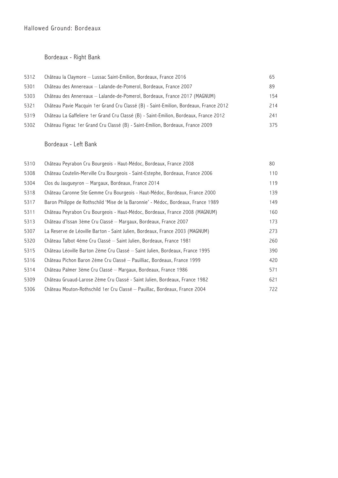## Bordeaux - Right Bank

| 5312 | Château la Claymore - Lussac Saint-Emilion, Bordeaux, France 2016                     | 65  |
|------|---------------------------------------------------------------------------------------|-----|
| 5301 | Château des Annereaux - Lalande-de-Pomerol, Bordeaux, France 2007                     | 89  |
| 5303 | Château des Annereaux - Lalande-de-Pomerol, Bordeaux, France 2017 (MAGNUM)            | 154 |
| 5321 | Château Pavie Macquin 1er Grand Cru Classé (B) - Saint-Emilion, Bordeaux, France 2012 | 214 |
| 5319 | Château La Gaffeliere 1er Grand Cru Classé (B) - Saint-Emilion, Bordeaux, France 2012 | 241 |
| 5302 | Château Figeac 1er Grand Cru Classé (B) - Saint-Emilion, Bordeaux, France 2009        | 375 |

### Bordeaux - Left Bank

| 5310 | Château Peyrabon Cru Bourgeois - Haut-Médoc, Bordeaux, France 2008                | 80  |
|------|-----------------------------------------------------------------------------------|-----|
| 5308 | Château Coutelin-Merville Cru Bourgeois - Saint-Estephe, Bordeaux, France 2006    | 110 |
| 5304 | Clos du Jaugueyron — Margaux, Bordeaux, France 2014                               | 119 |
| 5318 | Château Caronne Ste Gemme Cru Bourgeois - Haut-Médoc, Bordeaux, France 2000       | 139 |
| 5317 | Baron Philippe de Rothschild 'Mise de la Baronnie' - Médoc, Bordeaux, France 1989 | 149 |
| 5311 | Château Peyrabon Cru Bourgeois - Haut-Médoc, Bordeaux, France 2008 (MAGNUM)       | 160 |
| 5313 | Château d'Issan 3ème Cru Classé — Margaux, Bordeaux, France 2007                  | 173 |
| 5307 | La Reserve de Léoville Barton - Saint Julien, Bordeaux, France 2003 (MAGNUM)      | 273 |
| 5320 | Château Talbot 4ème Cru Classé – Saint Julien, Bordeaux, France 1981              | 260 |
| 5315 | Château Léoville Barton 2ème Cru Classé — Saint Julien, Bordeaux, France 1995     | 390 |
| 5316 | Château Pichon Baron 2ème Cru Classé – Pauilliac, Bordeaux, France 1999           | 420 |
| 5314 | Château Palmer 3ème Cru Classé - Margaux, Bordeaux, France 1986                   | 571 |
| 5309 | Château Gruaud-Larose 2ème Cru Classé - Saint Julien, Bordeaux, France 1982       | 621 |
| 5306 | Château Mouton-Rothschild 1er Cru Classé — Pauillac, Bordeaux, France 2004        | 722 |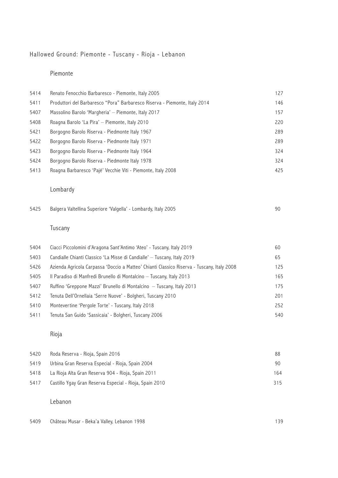# Hallowed Ground: Piemonte - Tuscany - Rioja - Lebanon

## Piemonte

| 5414 | Renato Fenocchio Barbaresco - Piemonte, Italy 2005                         | 127 |
|------|----------------------------------------------------------------------------|-----|
| 5411 | Produttori del Barbaresco "Pora" Barbaresco Riserva - Piemonte, Italy 2014 | 146 |
| 5407 | Massolino Barolo 'Margheria' - Piemonte, Italy 2017                        | 157 |
| 5408 | Roagna Barolo 'La Pira' - Piemonte, Italy 2010                             | 220 |
| 5421 | Borgogno Barolo Riserva - Piedmonte Italy 1967                             | 289 |
| 5422 | Borgogno Barolo Riserva - Piedmonte Italy 1971                             | 289 |
| 5423 | Borgogno Barolo Riserva - Piedmonte Italy 1964                             | 324 |
| 5424 | Borgogno Barolo Riserva - Piedmonte Italy 1978                             | 324 |
| 5413 | Roagna Barbaresco 'Pajé' Vecchie Viti - Piemonte, Italy 2008               | 425 |

## Lombardy

| 5425 |  |  | Balgera Valtellina Superiore 'Valgella' - Lombardy, Italy 2005 |  |
|------|--|--|----------------------------------------------------------------|--|
|------|--|--|----------------------------------------------------------------|--|

## Tuscany

| 5404 | Ciacci Piccolomini d'Aragona Sant'Antimo 'Ateo' - Tuscany, Italy 2019                      | 60  |
|------|--------------------------------------------------------------------------------------------|-----|
| 5403 | Candialle Chianti Classico 'La Misse di Candialle' - Tuscany, Italy 2019                   | 65  |
| 5426 | Azienda Agricola Carpassa 'Doccio a Matteo' Chianti Classico Riserva - Tuscany, Italy 2008 | 125 |
| 5405 | Il Paradiso di Manfredi Brunello di Montalcino – Tuscany, Italy 2013                       | 165 |
| 5407 | Ruffino 'Greppone Mazzi' Brunello di Montalcino – Tuscany, Italy 2013                      | 175 |
| 5412 | Tenuta Dell'Ornellaia 'Serre Nuove' - Bolgheri, Tuscany 2010                               | 201 |
| 5410 | Montevertine 'Pergole Torte' - Tuscany, Italy 2018                                         | 252 |
| 5411 | Tenuta San Guido 'Sassicaia' - Bolgheri, Tuscany 2006                                      | 540 |

## Rioja

| 5420 | Roda Reserva - Rioja, Spain 2016                        | 88. |
|------|---------------------------------------------------------|-----|
| 5419 | Urbina Gran Reserva Especial - Rioja, Spain 2004        | 90. |
| 5418 | La Rioja Alta Gran Reserva 904 - Rioja, Spain 2011      | 164 |
| 5417 | Castillo Ygay Gran Reserva Especial - Rioja, Spain 2010 | 315 |

## Lebanon

5409 Château Musar - Beka'a Valley, Lebanon 1998 139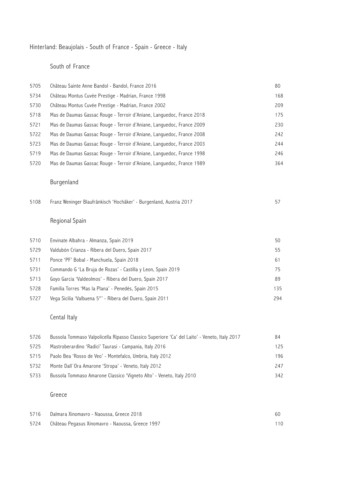## Hinterland: Beaujolais - South of France - Spain - Greece - Italy

### South of France

| 5705 | Château Sainte Anne Bandol - Bandol, France 2016                      | 80  |
|------|-----------------------------------------------------------------------|-----|
| 5734 | Château Montus Cuvée Prestige - Madrian, France 1998                  | 168 |
| 5730 | Château Montus Cuvée Prestige - Madrian, France 2002                  | 209 |
| 5718 | Mas de Daumas Gassac Rouge - Terroir d'Aniane, Languedoc, France 2018 | 175 |
| 5721 | Mas de Daumas Gassac Rouge - Terroir d'Aniane, Languedoc, France 2009 | 230 |
| 5722 | Mas de Daumas Gassac Rouge - Terroir d'Aniane, Languedoc, France 2008 | 242 |
| 5723 | Mas de Daumas Gassac Rouge - Terroir d'Aniane, Languedoc, France 2003 | 244 |
| 5719 | Mas de Daumas Gassac Rouge - Terroir d'Aniane, Languedoc, France 1998 | 246 |
| 5720 | Mas de Daumas Gassac Rouge - Terroir d'Aniane, Languedoc, France 1989 | 364 |

## Burgenland

|  |  | 5108 Franz Weninger Blaufränkisch 'Hochäker' - Burgenland, Austria 2017 |  |
|--|--|-------------------------------------------------------------------------|--|
|--|--|-------------------------------------------------------------------------|--|

## Regional Spain

| 5710 | Envinate Albahra - Almanza, Spain 2019                       | 50  |
|------|--------------------------------------------------------------|-----|
| 5729 | Valdubón Crianza - Ribera del Duero, Spain 2017              | 55  |
| 5711 | Ponce 'PF' Bobal - Manchuela, Spain 2018                     | 61  |
| 5731 | Commando G 'La Bruja de Rozas' - Castilla y Leon, Spain 2019 | 75  |
| 5713 | Goyo Garcia 'Valdeolmos' - Ribera del Duero, Spain 2017      | 89  |
| 5728 | Familia Torres 'Mas la Plana' - Penedés, Spain 2015          | 135 |
| 5727 | Vega Sicilia 'Valbuena 5°' - Ribera del Duero, Spain 2011    | 294 |

# Cental Italy

| 5726 | Bussola Tommaso Valpolicella Ripasso Classico Superiore 'Ca' del Laito' - Veneto, Italy 2017 | 84  |
|------|----------------------------------------------------------------------------------------------|-----|
| 5725 | Mastroberardino 'Radici' Taurasi - Campania, Italy 2016                                      | 125 |
| 5715 | Paolo Bea 'Rosso de Veo' - Montefalco, Umbria, Italy 2012                                    | 196 |
| 5732 | Monte Dall'Ora Amarone 'Stropa' - Veneto, Italy 2012                                         | 247 |
| 5733 | Bussola Tommaso Amarone Classico 'Vigneto Alto' - Veneto, Italy 2010                         | 342 |

## Greece

| 5716 Dalmara Xinomavro - Naoussa, Greece 2018         |  |
|-------------------------------------------------------|--|
| 5724 Château Pegasus Xinomavro - Naoussa, Greece 1997 |  |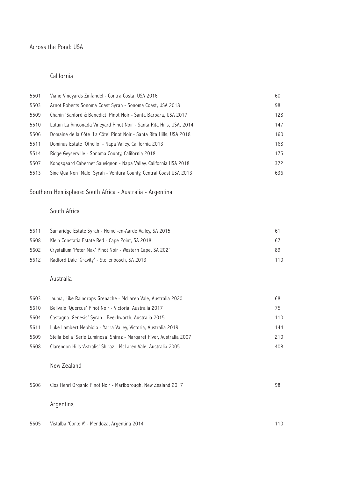#### Across the Pond: USA

#### California

| 5501 | Viano Vineyards Zinfandel - Contra Costa, USA 2016                   | 60  |
|------|----------------------------------------------------------------------|-----|
| 5503 | Arnot Roberts Sonoma Coast Syrah - Sonoma Coast, USA 2018            | 98  |
| 5509 | Chanin 'Sanford & Benedict' Pinot Noir - Santa Barbara, USA 2017     | 128 |
| 5510 | Lutum La Rinconada Vineyard Pinot Noir - Santa Rita Hills, USA, 2014 | 147 |
| 5506 | Domaine de la Côte 'La Côte' Pinot Noir - Santa Rita Hills, USA 2018 | 160 |
| 5511 | Dominus Estate 'Othello' - Napa Valley, California 2013              | 168 |
| 5514 | Ridge Geyserville - Sonoma County, California 2018                   | 175 |
| 5507 | Kongsgaard Cabernet Sauvignon - Napa Valley, California USA 2018     | 372 |
| 5513 | Sine Qua Non 'Male' Syrah - Ventura County, Central Coast USA 2013   | 636 |

# Southern Hemisphere: South Africa - Australia - Argentina

### South Africa

| 5611 | Sumaridge Estate Syrah - Hemel-en-Aarde Valley, SA 2015   |     |
|------|-----------------------------------------------------------|-----|
| 5608 | Klein Constatia Estate Red - Cape Point, SA 2018          | 67. |
| 5602 | Crystallum 'Peter Max' Pinot Noir - Western Cape, SA 2021 | 89  |
| 5612 | Radford Dale 'Gravity' - Stellenbosch, SA 2013            | 110 |

### Australia

| 5603 | Jauma, Like Raindrops Grenache - McLaren Vale, Australia 2020         | 68  |
|------|-----------------------------------------------------------------------|-----|
| 5610 | Bellvale 'Quercus' Pinot Noir - Victoria, Australia 2017              | 75  |
| 5604 | Castagna 'Genesis' Syrah - Beechworth, Australia 2015                 | 110 |
| 5611 | Luke Lambert Nebbiolo - Yarra Valley, Victoria, Australia 2019        | 144 |
| 5609 | Stella Bella 'Serie Luminosa' Shiraz - Margaret River, Australia 2007 | 210 |
| 5608 | Clarendon Hills 'Astralis' Shiraz - McLaren Vale, Australia 2005      | 408 |

#### New Zealand

| 5606 | Clos Henri Organic Pinot Noir - Marlborough, New Zealand 2017 | 98 |
|------|---------------------------------------------------------------|----|
|      |                                                               |    |
|      |                                                               |    |

## Argentina

5605 Vistalba 'Corte A' - Mendoza, Argentina 2014 110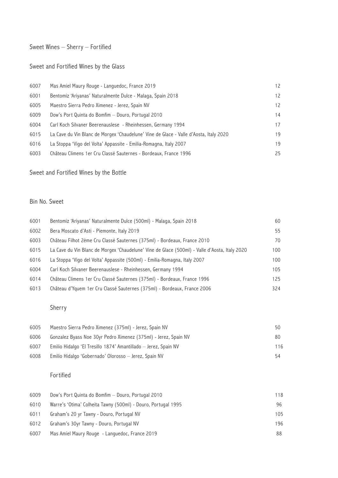## Sweet Wines – Sherry – Fortified

## Sweet and Fortified Wines by the Glass

| 6007 | Mas Amiel Maury Rouge - Languedoc, France 2019                                        | 12 <sup>2</sup> |
|------|---------------------------------------------------------------------------------------|-----------------|
| 6001 | Bentomiz 'Ariyanas' Naturalmente Dulce - Malaga, Spain 2018                           | 12              |
| 6005 | Maestro Sierra Pedro Ximenez - Jerez, Spain NV                                        | 12 <sup>2</sup> |
| 6009 | Dow's Port Quinta do Bomfim - Douro, Portugal 2010                                    | 14              |
| 6004 | Carl Koch Silvaner Beerenauslese - Rheinhessen, Germany 1994                          | 17              |
| 6015 | La Cave du Vin Blanc de Morgex 'Chaudelune' Vine de Glace - Valle d'Aosta, Italy 2020 | 19              |
| 6016 | La Stoppa 'Vigo del Volta' Appassite - Emilia-Romagna, Italy 2007                     | 19              |
| 6003 | Château Climens 1 er Cru Classé Sauternes - Bordeaux, France 1996                     | 25              |

## Sweet and Fortified Wines by the Bottle

#### Bin No. Sweet

| 6001 | Bentomiz 'Ariyanas' Naturalmente Dulce (500ml) - Malaga, Spain 2018                           | 60  |
|------|-----------------------------------------------------------------------------------------------|-----|
| 6002 | Bera Moscato d'Asti - Piemonte, Italy 2019                                                    | 55  |
| 6003 | Château Filhot 2ème Cru Classé Sauternes (375ml) - Bordeaux, France 2010                      | 70  |
| 6015 | La Cave du Vin Blanc de Morgex 'Chaudelune' Vine de Glace (500ml) - Valle d'Aosta, Italy 2020 | 100 |
| 6016 | La Stoppa 'Vigo del Volta' Appassite (500ml) - Emilia-Romagna, Italy 2007                     | 100 |
| 6004 | Carl Koch Silvaner Beerenauslese - Rheinhessen, Germany 1994                                  | 105 |
| 6014 | Château Climens 1er Cru Classé Sauternes (375ml) - Bordeaux, France 1996                      | 125 |
| 6013 | Château d'Yquem 1er Cru Classé Sauternes (375ml) - Bordeaux, France 2006                      | 324 |

### Sherry

| 6005 | Maestro Sierra Pedro Ximenez (375ml) - Jerez, Spain NV          | 50. |
|------|-----------------------------------------------------------------|-----|
| 6006 | Gonzalez Byass Noe 30yr Pedro Ximenez (375ml) - Jerez, Spain NV | 80. |
| 6007 | Emilio Hidalgo 'El Tresillo 1874' Amantillado — Jerez, Spain NV | 116 |
| 6008 | Emilio Hidalgo 'Gobernado' Olorosso — Jerez, Spain NV           | 54  |

### Fortified

| 6009 | Dow's Port Quinta do Bomfim - Douro, Portugal 2010            | 118 |
|------|---------------------------------------------------------------|-----|
| 6010 | Warre's 'Otima' Colheita Tawny (500ml) - Douro, Portugal 1995 | 96  |
| 6011 | Graham's 20 yr Tawny - Douro, Portugal NV                     | 105 |
| 6012 | Graham's 30yr Tawny - Douro, Portugal NV                      | 196 |
| 6007 | Mas Amiel Maury Rouge - Languedoc, France 2019                | 88  |